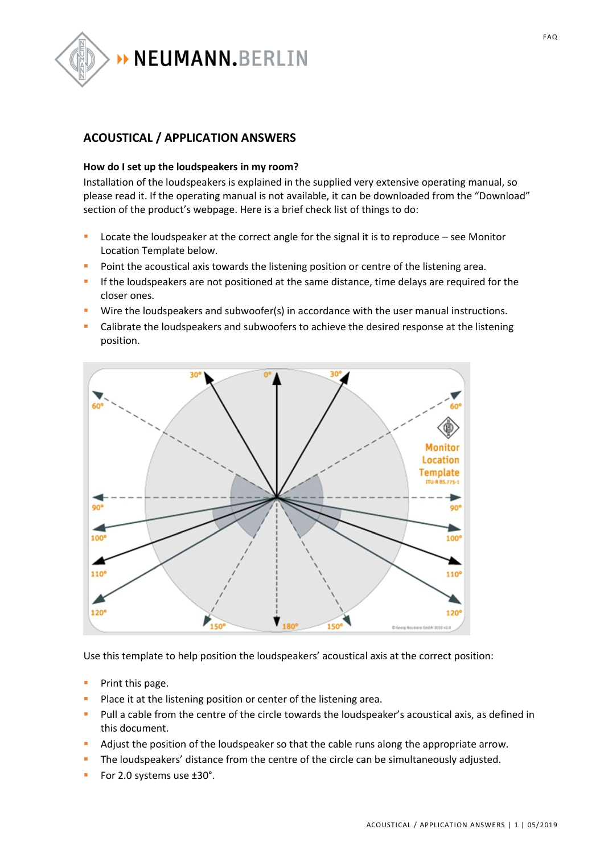

## **ACOUSTICAL / APPLICATION ANSWERS**

## **How do I set up the loudspeakers in my room?**

Installation of the loudspeakers is explained in the supplied very extensive operating manual, so please read it. If the operating manual is not available, it can be downloaded from the "Download" section of the product's webpage. Here is a brief check list of things to do:

- Locate the loudspeaker at the correct angle for the signal it is to reproduce see Monitor Location Template below.
- Point the acoustical axis towards the listening position or centre of the listening area.
- If the loudspeakers are not positioned at the same distance, time delays are required for the closer ones.
- Wire the loudspeakers and subwoofer(s) in accordance with the user manual instructions.
- Calibrate the loudspeakers and subwoofers to achieve the desired response at the listening position.



Use this template to help position the loudspeakers' acoustical axis at the correct position:

- Print this page.
- Place it at the listening position or center of the listening area.
- Pull a cable from the centre of the circle towards the loudspeaker's acoustical axis, as defined in this document.
- Adjust the position of the loudspeaker so that the cable runs along the appropriate arrow.
- The loudspeakers' distance from the centre of the circle can be simultaneously adjusted.
- For 2.0 systems use ±30°.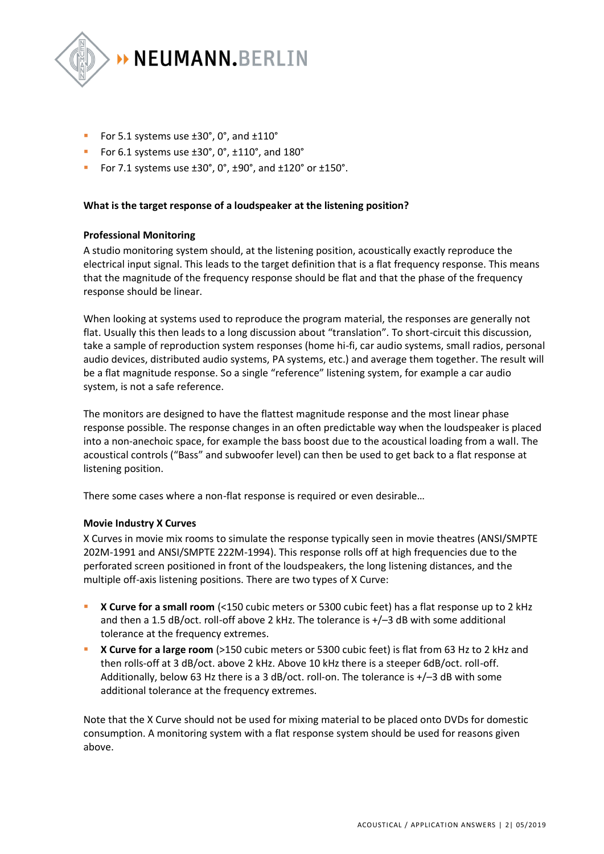

- For 5.1 systems use  $\pm 30^{\circ}$ , 0°, and  $\pm 110^{\circ}$
- For 6.1 systems use ±30°, 0°, ±110°, and 180°
- For 7.1 systems use  $\pm 30^\circ$ , 0°,  $\pm 90^\circ$ , and  $\pm 120^\circ$  or  $\pm 150^\circ$ .

## **What is the target response of a loudspeaker at the listening position?**

## **Professional Monitoring**

A studio monitoring system should, at the listening position, acoustically exactly reproduce the electrical input signal. This leads to the target definition that is a flat frequency response. This means that the magnitude of the frequency response should be flat and that the phase of the frequency response should be linear.

When looking at systems used to reproduce the program material, the responses are generally not flat. Usually this then leads to a long discussion about "translation". To short-circuit this discussion, take a sample of reproduction system responses (home hi-fi, car audio systems, small radios, personal audio devices, distributed audio systems, PA systems, etc.) and average them together. The result will be a flat magnitude response. So a single "reference" listening system, for example a car audio system, is not a safe reference.

The monitors are designed to have the flattest magnitude response and the most linear phase response possible. The response changes in an often predictable way when the loudspeaker is placed into a non-anechoic space, for example the bass boost due to the acoustical loading from a wall. The acoustical controls ("Bass" and subwoofer level) can then be used to get back to a flat response at listening position.

There some cases where a non-flat response is required or even desirable…

## **Movie Industry X Curves**

X Curves in movie mix rooms to simulate the response typically seen in movie theatres (ANSI/SMPTE 202M-1991 and ANSI/SMPTE 222M-1994). This response rolls off at high frequencies due to the perforated screen positioned in front of the loudspeakers, the long listening distances, and the multiple off-axis listening positions. There are two types of X Curve:

- **X Curve for a small room** (<150 cubic meters or 5300 cubic feet) has a flat response up to 2 kHz and then a 1.5 dB/oct. roll-off above 2 kHz. The tolerance is +/–3 dB with some additional tolerance at the frequency extremes.
- **X Curve for a large room** (>150 cubic meters or 5300 cubic feet) is flat from 63 Hz to 2 kHz and then rolls-off at 3 dB/oct. above 2 kHz. Above 10 kHz there is a steeper 6dB/oct. roll-off. Additionally, below 63 Hz there is a 3 dB/oct. roll-on. The tolerance is +/–3 dB with some additional tolerance at the frequency extremes.

Note that the X Curve should not be used for mixing material to be placed onto DVDs for domestic consumption. A monitoring system with a flat response system should be used for reasons given above.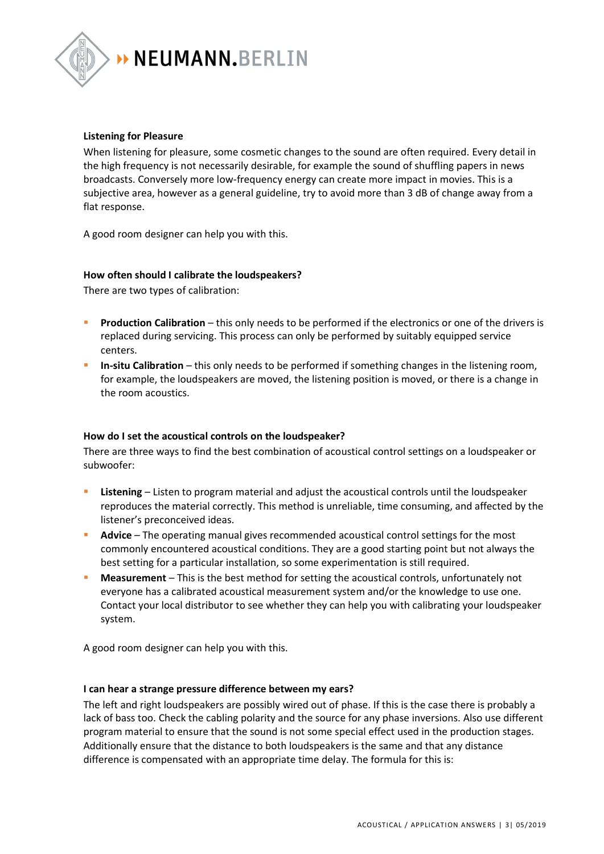

## **Listening for Pleasure**

When listening for pleasure, some cosmetic changes to the sound are often required. Every detail in the high frequency is not necessarily desirable, for example the sound of shuffling papers in news broadcasts. Conversely more low-frequency energy can create more impact in movies. This is a subjective area, however as a general guideline, try to avoid more than 3 dB of change away from a flat response.

A good room designer can help you with this.

## **How often should I calibrate the loudspeakers?**

There are two types of calibration:

- **Production Calibration** this only needs to be performed if the electronics or one of the drivers is replaced during servicing. This process can only be performed by suitably equipped service centers.
- **In-situ Calibration** this only needs to be performed if something changes in the listening room, for example, the loudspeakers are moved, the listening position is moved, or there is a change in the room acoustics.

## **How do I set the acoustical controls on the loudspeaker?**

There are three ways to find the best combination of acoustical control settings on a loudspeaker or subwoofer:

- **Listening** Listen to program material and adjust the acoustical controls until the loudspeaker reproduces the material correctly. This method is unreliable, time consuming, and affected by the listener's preconceived ideas.
- Advice The operating manual gives recommended acoustical control settings for the most commonly encountered acoustical conditions. They are a good starting point but not always the best setting for a particular installation, so some experimentation is still required.
- **Measurement** This is the best method for setting the acoustical controls, unfortunately not everyone has a calibrated acoustical measurement system and/or the knowledge to use one. Contact your local distributor to see whether they can help you with calibrating your loudspeaker system.

A good room designer can help you with this.

#### **I can hear a strange pressure difference between my ears?**

The left and right loudspeakers are possibly wired out of phase. If this is the case there is probably a lack of bass too. Check the cabling polarity and the source for any phase inversions. Also use different program material to ensure that the sound is not some special effect used in the production stages. Additionally ensure that the distance to both loudspeakers is the same and that any distance difference is compensated with an appropriate time delay. The formula for this is: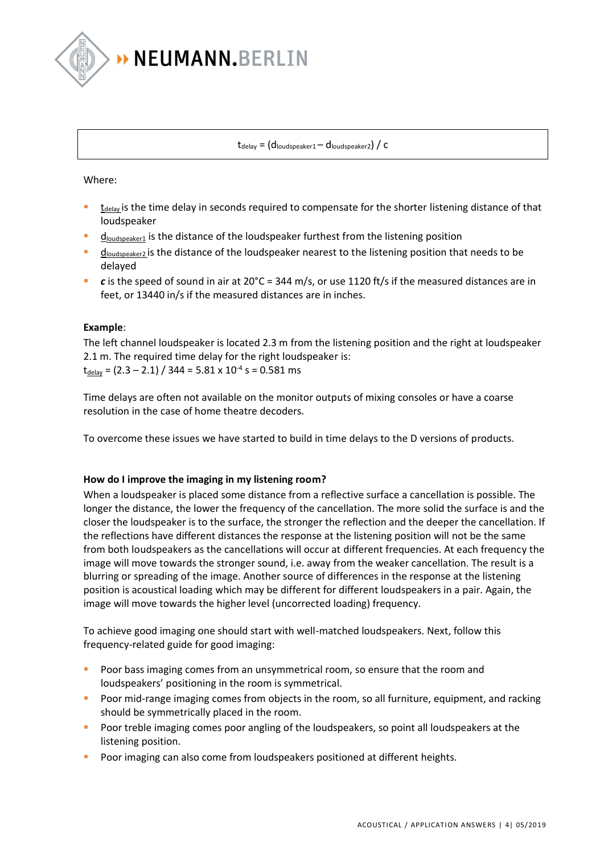

 $t_{delay} = (d_{loudspeaker1} - d_{loudspeaker2}) / c$ 

Where:

- $t_{\text{delay}}$  is the time delay in seconds required to compensate for the shorter listening distance of that loudspeaker
- $d_{\text{Joudspeaker1}}$  is the distance of the loudspeaker furthest from the listening position
- $d_{\text{loudspeaker2}}$  is the distance of the loudspeaker nearest to the listening position that needs to be delayed
- $c$  is the speed of sound in air at 20°C = 344 m/s, or use 1120 ft/s if the measured distances are in feet, or 13440 in/s if the measured distances are in inches.

## **Example**:

The left channel loudspeaker is located 2.3 m from the listening position and the right at loudspeaker 2.1 m. The required time delay for the right loudspeaker is:  $t_{\text{delay}}$  = (2.3 – 2.1) / 344 = 5.81 x 10<sup>-4</sup> s = 0.581 ms

Time delays are often not available on the monitor outputs of mixing consoles or have a coarse resolution in the case of home theatre decoders.

To overcome these issues we have started to build in time delays to the D versions of products.

## **How do I improve the imaging in my listening room?**

When a loudspeaker is placed some distance from a reflective surface a cancellation is possible. The longer the distance, the lower the frequency of the cancellation. The more solid the surface is and the closer the loudspeaker is to the surface, the stronger the reflection and the deeper the cancellation. If the reflections have different distances the response at the listening position will not be the same from both loudspeakers as the cancellations will occur at different frequencies. At each frequency the image will move towards the stronger sound, i.e. away from the weaker cancellation. The result is a blurring or spreading of the image. Another source of differences in the response at the listening position is acoustical loading which may be different for different loudspeakers in a pair. Again, the image will move towards the higher level (uncorrected loading) frequency.

To achieve good imaging one should start with well-matched loudspeakers. Next, follow this frequency-related guide for good imaging:

- Poor bass imaging comes from an unsymmetrical room, so ensure that the room and loudspeakers' positioning in the room is symmetrical.
- **•** Poor mid-range imaging comes from objects in the room, so all furniture, equipment, and racking should be symmetrically placed in the room.
- Poor treble imaging comes poor angling of the loudspeakers, so point all loudspeakers at the listening position.
- Poor imaging can also come from loudspeakers positioned at different heights.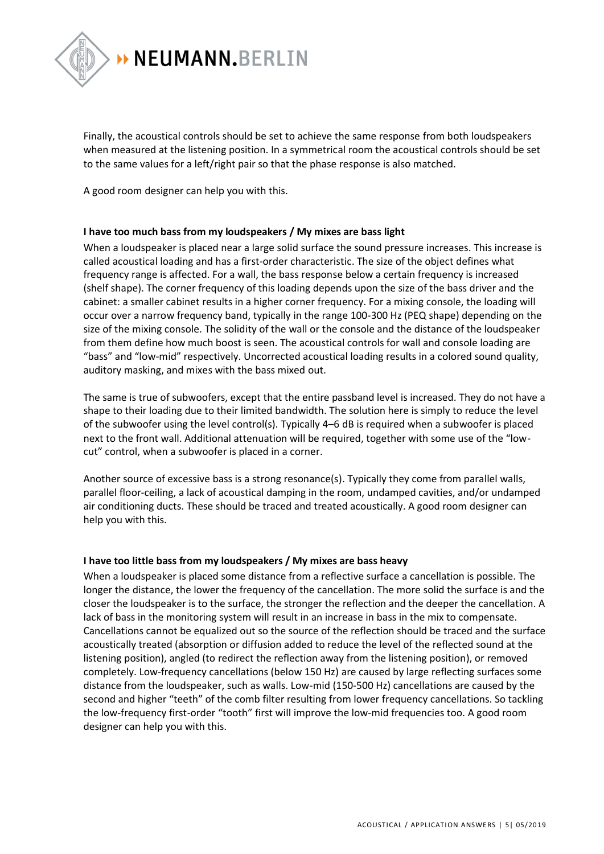

Finally, the acoustical controls should be set to achieve the same response from both loudspeakers when measured at the listening position. In a symmetrical room the acoustical controls should be set to the same values for a left/right pair so that the phase response is also matched.

A good room designer can help you with this.

## **I have too much bass from my loudspeakers / My mixes are bass light**

When a loudspeaker is placed near a large solid surface the sound pressure increases. This increase is called acoustical loading and has a first-order characteristic. The size of the object defines what frequency range is affected. For a wall, the bass response below a certain frequency is increased (shelf shape). The corner frequency of this loading depends upon the size of the bass driver and the cabinet: a smaller cabinet results in a higher corner frequency. For a mixing console, the loading will occur over a narrow frequency band, typically in the range 100-300 Hz (PEQ shape) depending on the size of the mixing console. The solidity of the wall or the console and the distance of the loudspeaker from them define how much boost is seen. The acoustical controls for wall and console loading are "bass" and "low-mid" respectively. Uncorrected acoustical loading results in a colored sound quality, auditory masking, and mixes with the bass mixed out.

The same is true of subwoofers, except that the entire passband level is increased. They do not have a shape to their loading due to their limited bandwidth. The solution here is simply to reduce the level of the subwoofer using the level control(s). Typically 4–6 dB is required when a subwoofer is placed next to the front wall. Additional attenuation will be required, together with some use of the "lowcut" control, when a subwoofer is placed in a corner.

Another source of excessive bass is a strong resonance(s). Typically they come from parallel walls, parallel floor-ceiling, a lack of acoustical damping in the room, undamped cavities, and/or undamped air conditioning ducts. These should be traced and treated acoustically. A good room designer can help you with this.

## **I have too little bass from my loudspeakers / My mixes are bass heavy**

When a loudspeaker is placed some distance from a reflective surface a cancellation is possible. The longer the distance, the lower the frequency of the cancellation. The more solid the surface is and the closer the loudspeaker is to the surface, the stronger the reflection and the deeper the cancellation. A lack of bass in the monitoring system will result in an increase in bass in the mix to compensate. Cancellations cannot be equalized out so the source of the reflection should be traced and the surface acoustically treated (absorption or diffusion added to reduce the level of the reflected sound at the listening position), angled (to redirect the reflection away from the listening position), or removed completely. Low-frequency cancellations (below 150 Hz) are caused by large reflecting surfaces some distance from the loudspeaker, such as walls. Low-mid (150-500 Hz) cancellations are caused by the second and higher "teeth" of the comb filter resulting from lower frequency cancellations. So tackling the low-frequency first-order "tooth" first will improve the low-mid frequencies too. A good room designer can help you with this.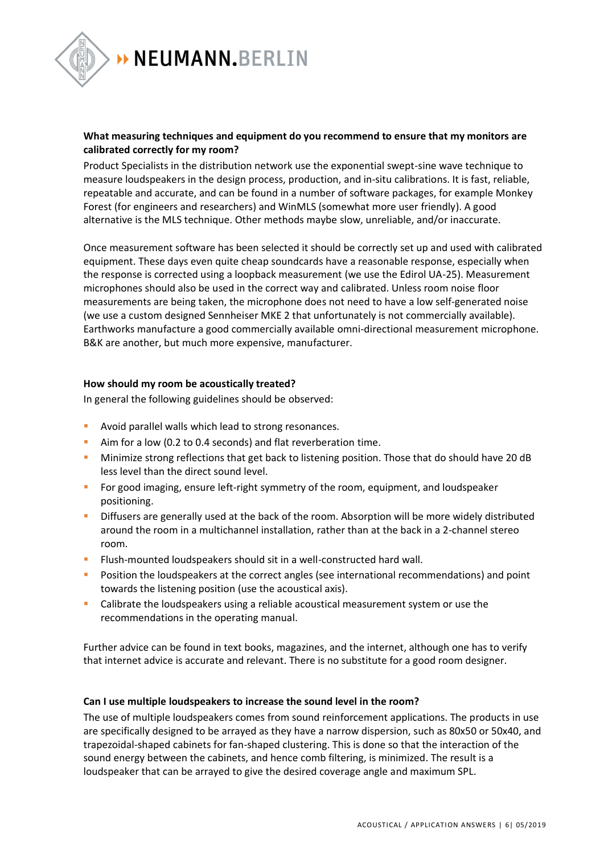

> NEUMANN.BERLIN

## **What measuring techniques and equipment do you recommend to ensure that my monitors are calibrated correctly for my room?**

Product Specialists in the distribution network use the exponential swept-sine wave technique to measure loudspeakers in the design process, production, and in-situ calibrations. It is fast, reliable, repeatable and accurate, and can be found in a number of software packages, for example Monkey Forest (for engineers and researchers) and WinMLS (somewhat more user friendly). A good alternative is the MLS technique. Other methods maybe slow, unreliable, and/or inaccurate.

Once measurement software has been selected it should be correctly set up and used with calibrated equipment. These days even quite cheap soundcards have a reasonable response, especially when the response is corrected using a loopback measurement (we use the Edirol UA-25). Measurement microphones should also be used in the correct way and calibrated. Unless room noise floor measurements are being taken, the microphone does not need to have a low self-generated noise (we use a custom designed Sennheiser MKE 2 that unfortunately is not commercially available). Earthworks manufacture a good commercially available omni-directional measurement microphone. B&K are another, but much more expensive, manufacturer.

## **How should my room be acoustically treated?**

In general the following guidelines should be observed:

- Avoid parallel walls which lead to strong resonances.
- Aim for a low (0.2 to 0.4 seconds) and flat reverberation time.
- **EXECT** Minimize strong reflections that get back to listening position. Those that do should have 20 dB less level than the direct sound level.
- For good imaging, ensure left-right symmetry of the room, equipment, and loudspeaker positioning.
- **EXECT** Diffusers are generally used at the back of the room. Absorption will be more widely distributed around the room in a multichannel installation, rather than at the back in a 2-channel stereo room.
- **EXECTE Flush-mounted loudspeakers should sit in a well-constructed hard wall.**
- Position the loudspeakers at the correct angles (see international recommendations) and point towards the listening position (use the acoustical axis).
- Calibrate the loudspeakers using a reliable acoustical measurement system or use the recommendations in the operating manual.

Further advice can be found in text books, magazines, and the internet, although one has to verify that internet advice is accurate and relevant. There is no substitute for a good room designer.

## **Can I use multiple loudspeakers to increase the sound level in the room?**

The use of multiple loudspeakers comes from sound reinforcement applications. The products in use are specifically designed to be arrayed as they have a narrow dispersion, such as 80x50 or 50x40, and trapezoidal-shaped cabinets for fan-shaped clustering. This is done so that the interaction of the sound energy between the cabinets, and hence comb filtering, is minimized. The result is a loudspeaker that can be arrayed to give the desired coverage angle and maximum SPL.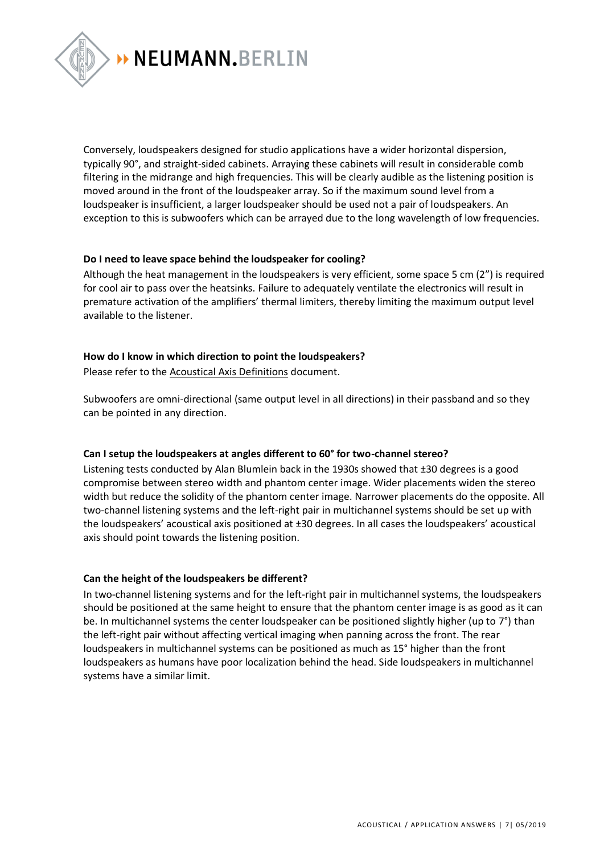

> NEUMANN.BERLIN

Conversely, loudspeakers designed for studio applications have a wider horizontal dispersion, typically 90°, and straight-sided cabinets. Arraying these cabinets will result in considerable comb filtering in the midrange and high frequencies. This will be clearly audible as the listening position is moved around in the front of the loudspeaker array. So if the maximum sound level from a loudspeaker is insufficient, a larger loudspeaker should be used not a pair of loudspeakers. An exception to this is subwoofers which can be arrayed due to the long wavelength of low frequencies.

## **Do I need to leave space behind the loudspeaker for cooling?**

Although the heat management in the loudspeakers is very efficient, some space 5 cm (2") is required for cool air to pass over the heatsinks. Failure to adequately ventilate the electronics will result in premature activation of the amplifiers' thermal limiters, thereby limiting the maximum output level available to the listener.

## **How do I know in which direction to point the loudspeakers?**

Please refer to the [Acoustical Axis Definitions](http://en-de.neumann.com/product_files/6494/download) document.

Subwoofers are omni-directional (same output level in all directions) in their passband and so they can be pointed in any direction.

## **Can I setup the loudspeakers at angles different to 60° for two-channel stereo?**

Listening tests conducted by Alan Blumlein back in the 1930s showed that ±30 degrees is a good compromise between stereo width and phantom center image. Wider placements widen the stereo width but reduce the solidity of the phantom center image. Narrower placements do the opposite. All two-channel listening systems and the left-right pair in multichannel systems should be set up with the loudspeakers' acoustical axis positioned at ±30 degrees. In all cases the loudspeakers' acoustical axis should point towards the listening position.

## **Can the height of the loudspeakers be different?**

In two-channel listening systems and for the left-right pair in multichannel systems, the loudspeakers should be positioned at the same height to ensure that the phantom center image is as good as it can be. In multichannel systems the center loudspeaker can be positioned slightly higher (up to 7°) than the left-right pair without affecting vertical imaging when panning across the front. The rear loudspeakers in multichannel systems can be positioned as much as 15° higher than the front loudspeakers as humans have poor localization behind the head. Side loudspeakers in multichannel systems have a similar limit.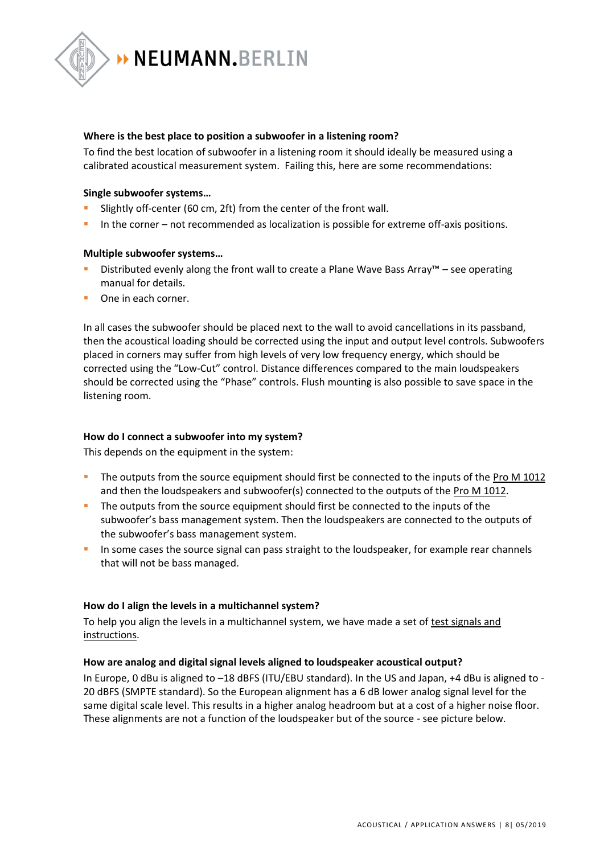

## **Where is the best place to position a subwoofer in a listening room?**

To find the best location of subwoofer in a listening room it should ideally be measured using a calibrated acoustical measurement system. Failing this, here are some recommendations:

## **Single subwoofer systems…**

- Slightly off-center (60 cm, 2ft) from the center of the front wall.
- In the corner not recommended as localization is possible for extreme off-axis positions.

## **Multiple subwoofer systems…**

- Distributed evenly along the front wall to create a Plane Wave Bass Array™ see operating manual for details.
- One in each corner.

In all cases the subwoofer should be placed next to the wall to avoid cancellations in its passband, then the acoustical loading should be corrected using the input and output level controls. Subwoofers placed in corners may suffer from high levels of very low frequency energy, which should be corrected using the "Low-Cut" control. Distance differences compared to the main loudspeakers should be corrected using the "Phase" controls. Flush mounting is also possible to save space in the listening room.

## **How do I connect a subwoofer into my system?**

This depends on the equipment in the system:

- The outputs from the source equipment should first be connected to the inputs of the [Pro M 1012](http://www.neumann-kh-line.com/neumann-kh/home_de.nsf/root/prof-) and then the loudspeakers and subwoofer(s) connected to the outputs of the [Pro M 1012.](http://www.neumann-kh-line.com/neumann-kh/home_de.nsf/root/prof-)
- **•** The outputs from the source equipment should first be connected to the inputs of the subwoofer's bass management system. Then the loudspeakers are connected to the outputs of the subwoofer's bass management system.
- **In some cases the source signal can pass straight to the loudspeaker, for example rear channels** that will not be bass managed.

## **How do I align the levels in a multichannel system?**

To help you align the levels in a multichannel system, we have made a set of [test signals and](http://en-de.neumann.com/product_files/7671/download)  [instructions.](http://en-de.neumann.com/product_files/7671/download)

## **How are analog and digital signal levels aligned to loudspeaker acoustical output?**

In Europe, 0 dBu is aligned to –18 dBFS (ITU/EBU standard). In the US and Japan, +4 dBu is aligned to - 20 dBFS (SMPTE standard). So the European alignment has a 6 dB lower analog signal level for the same digital scale level. This results in a higher analog headroom but at a cost of a higher noise floor. These alignments are not a function of the loudspeaker but of the source - see picture below.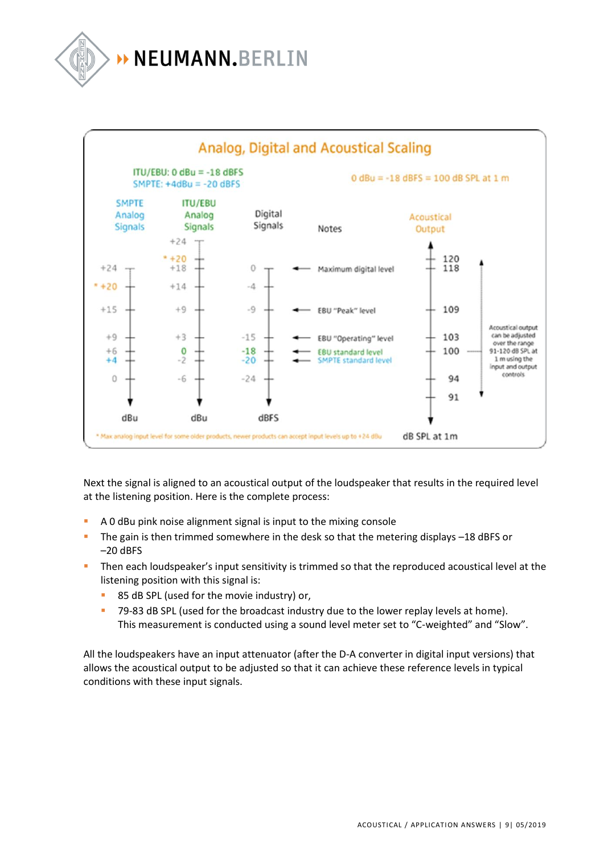# > NEUMANN.BERLIN



Next the signal is aligned to an acoustical output of the loudspeaker that results in the required level at the listening position. Here is the complete process:

- A 0 dBu pink noise alignment signal is input to the mixing console
- The gain is then trimmed somewhere in the desk so that the metering displays -18 dBFS or –20 dBFS
- **·** Then each loudspeaker's input sensitivity is trimmed so that the reproduced acoustical level at the listening position with this signal is:
	- 85 dB SPL (used for the movie industry) or,
	- 79-83 dB SPL (used for the broadcast industry due to the lower replay levels at home). This measurement is conducted using a sound level meter set to "C-weighted" and "Slow".

All the loudspeakers have an input attenuator (after the D-A converter in digital input versions) that allows the acoustical output to be adjusted so that it can achieve these reference levels in typical conditions with these input signals.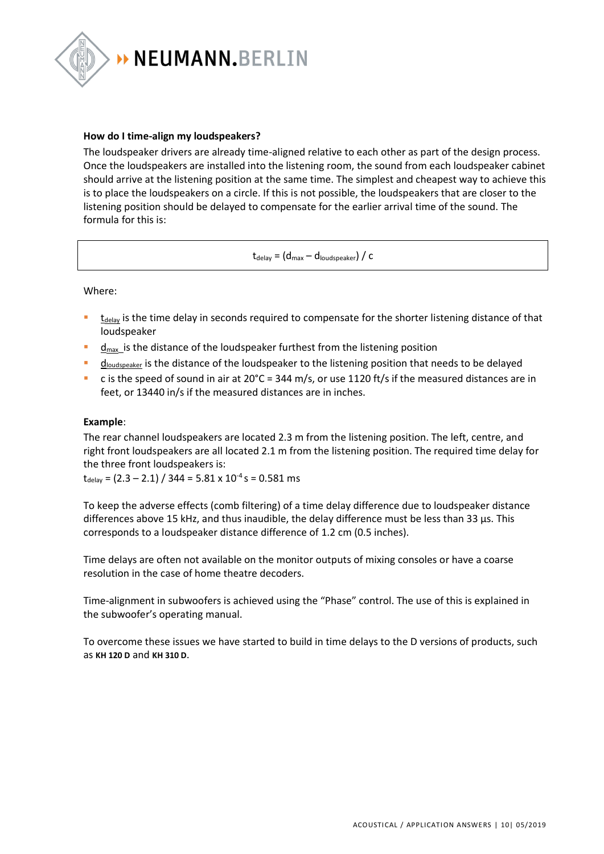

## **How do I time-align my loudspeakers?**

The loudspeaker drivers are already time-aligned relative to each other as part of the design process. Once the loudspeakers are installed into the listening room, the sound from each loudspeaker cabinet should arrive at the listening position at the same time. The simplest and cheapest way to achieve this is to place the loudspeakers on a circle. If this is not possible, the loudspeakers that are closer to the listening position should be delayed to compensate for the earlier arrival time of the sound. The formula for this is:

 $t_{\text{delay}} = (d_{\text{max}} - d_{\text{loudspeaker}}) / c$ 

Where:

- $t_{delay}$  is the time delay in seconds required to compensate for the shorter listening distance of that loudspeaker
- $\frac{d_{\text{max}}}{dt}$  is the distance of the loudspeaker furthest from the listening position
- $d_{\text{loudspeaker}}$  is the distance of the loudspeaker to the listening position that needs to be delayed
- **•** c is the speed of sound in air at  $20^{\circ}$ C = 344 m/s, or use 1120 ft/s if the measured distances are in feet, or 13440 in/s if the measured distances are in inches.

#### **Example**:

The rear channel loudspeakers are located 2.3 m from the listening position. The left, centre, and right front loudspeakers are all located 2.1 m from the listening position. The required time delay for the three front loudspeakers is:

 $t_{\text{delay}} = (2.3 - 2.1) / 344 = 5.81 \times 10^{-4} \text{ s} = 0.581 \text{ ms}$ 

To keep the adverse effects (comb filtering) of a time delay difference due to loudspeaker distance differences above 15 kHz, and thus inaudible, the delay difference must be less than 33 µs. This corresponds to a loudspeaker distance difference of 1.2 cm (0.5 inches).

Time delays are often not available on the monitor outputs of mixing consoles or have a coarse resolution in the case of home theatre decoders.

Time-alignment in subwoofers is achieved using the "Phase" control. The use of this is explained in the subwoofer's operating manual.

To overcome these issues we have started to build in time delays to the D versions of products, such as **[KH 120 D](http://www.neumann-kh-line.com/neumann-kh/home_en.nsf/root/prof-monitoring_studio-monitors_nearfield-monitors_KH120D)** and **[KH 310 D](http://www.neumann-kh-line.com/neumann-kh/home_en.nsf/root/prof-monitoring_studio-monitors_nearfield-monitors_KH310D)**.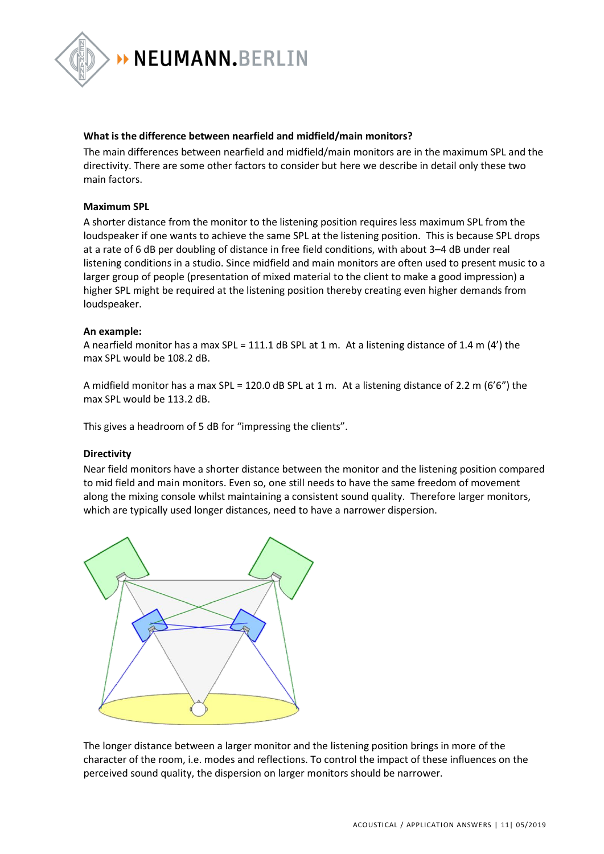

## **What is the difference between nearfield and midfield/main monitors?**

The main differences between nearfield and midfield/main monitors are in the maximum SPL and the directivity. There are some other factors to consider but here we describe in detail only these two main factors.

## **Maximum SPL**

A shorter distance from the monitor to the listening position requires less maximum SPL from the loudspeaker if one wants to achieve the same SPL at the listening position. This is because SPL drops at a rate of 6 dB per doubling of distance in free field conditions, with about 3–4 dB under real listening conditions in a studio. Since midfield and main monitors are often used to present music to a larger group of people (presentation of mixed material to the client to make a good impression) a higher SPL might be required at the listening position thereby creating even higher demands from loudspeaker.

#### **An example:**

A nearfield monitor has a max SPL = 111.1 dB SPL at 1 m. At a listening distance of 1.4 m (4') the max SPL would be 108.2 dB.

A midfield monitor has a max SPL = 120.0 dB SPL at 1 m. At a listening distance of 2.2 m (6'6") the max SPL would be 113.2 dB.

This gives a headroom of 5 dB for "impressing the clients".

#### **Directivity**

Near field monitors have a shorter distance between the monitor and the listening position compared to mid field and main monitors. Even so, one still needs to have the same freedom of movement along the mixing console whilst maintaining a consistent sound quality. Therefore larger monitors, which are typically used longer distances, need to have a narrower dispersion.



The longer distance between a larger monitor and the listening position brings in more of the character of the room, i.e. modes and reflections. To control the impact of these influences on the perceived sound quality, the dispersion on larger monitors should be narrower.